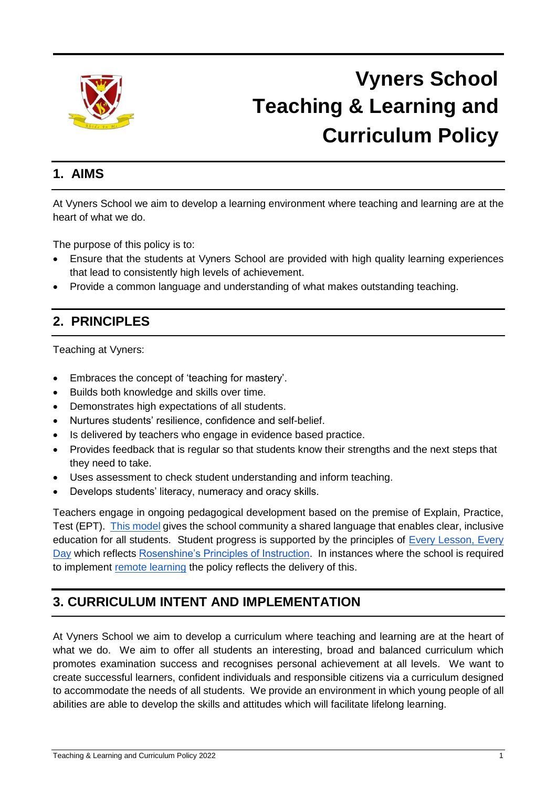

## **Vyners School Teaching & Learning and Curriculum Policy**

## **1. AIMS**

At Vyners School we aim to develop a learning environment where teaching and learning are at the heart of what we do.

The purpose of this policy is to:

- Ensure that the students at Vyners School are provided with high quality learning experiences that lead to consistently high levels of achievement.
- Provide a common language and understanding of what makes outstanding teaching.

## **2. PRINCIPLES**

Teaching at Vyners:

- Embraces the concept of 'teaching for mastery'.
- Builds both knowledge and skills over time.
- Demonstrates high expectations of all students.
- Nurtures students' resilience, confidence and self-belief.
- Is delivered by teachers who engage in evidence based practice.
- Provides feedback that is regular so that students know their strengths and the next steps that they need to take.
- Uses assessment to check student understanding and inform teaching.
- Develops students' literacy, numeracy and oracy skills.

Teachers engage in ongoing pedagogical development based on the premise of Explain, Practice, Test (EPT). [This model](https://drive.google.com/file/d/1hwNsPke8jFz93OytvH7udT2mw_vDEkeD/view?usp=sharing) gives the school community a shared language that enables clear, inclusive education for all students. Student progress is supported by the principles of [Every Lesson, Every](https://drive.google.com/file/d/1TpENfYt8-G6q64Z1Ei7Nw96CtLIgdVF5/view?usp=sharing)  [Day](https://drive.google.com/file/d/1TpENfYt8-G6q64Z1Ei7Nw96CtLIgdVF5/view?usp=sharing) which reflects [Rosenshine's Principles of Instruction.](https://docs.google.com/document/d/1FfNxwNz4XbD8Xguq-g4g50u1KPdC4li5/edit?usp=sharing&ouid=108917368231273229954&rtpof=true&sd=true) In instances where the school is required to implement [remote learning](https://www.vynersschool.org.uk/attachments/download.asp?file=3374&type=pdf) the policy reflects the delivery of this.

## **3. CURRICULUM INTENT AND IMPLEMENTATION**

At Vyners School we aim to develop a curriculum where teaching and learning are at the heart of what we do. We aim to offer all students an interesting, broad and balanced curriculum which promotes examination success and recognises personal achievement at all levels. We want to create successful learners, confident individuals and responsible citizens via a curriculum designed to accommodate the needs of all students. We provide an environment in which young people of all abilities are able to develop the skills and attitudes which will facilitate lifelong learning.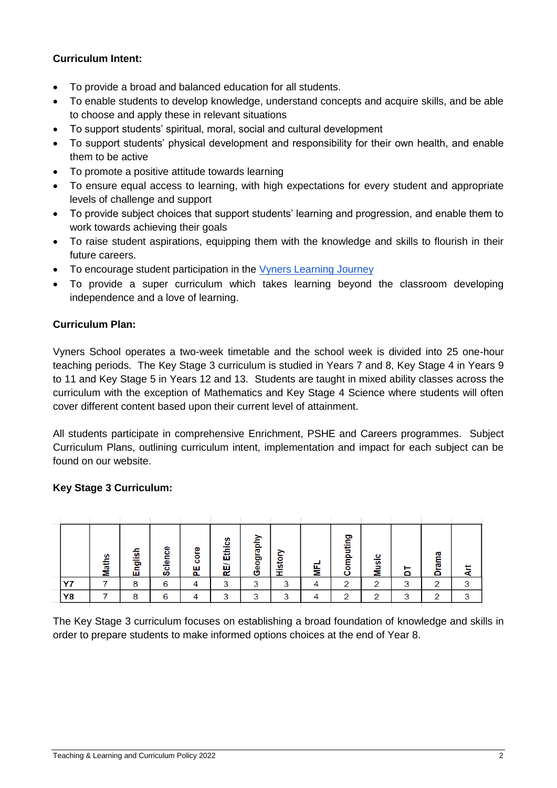#### **Curriculum Intent:**

- To provide a broad and balanced education for all students.
- To enable students to develop knowledge, understand concepts and acquire skills, and be able to choose and apply these in relevant situations
- To support students' spiritual, moral, social and cultural development
- To support students' physical development and responsibility for their own health, and enable them to be active
- To promote a positive attitude towards learning
- To ensure equal access to learning, with high expectations for every student and appropriate levels of challenge and support
- To provide subject choices that support students' learning and progression, and enable them to work towards achieving their goals
- To raise student aspirations, equipping them with the knowledge and skills to flourish in their future careers.
- To encourage student participation in the [Vyners Learning Journey](https://drive.google.com/file/d/14nLpmp-s1-jbQ5r0Sqv93MiI-7qWL5vk/view?usp=sharing)
- To provide a super curriculum which takes learning beyond the classroom developing independence and a love of learning.

#### **Curriculum Plan:**

Vyners School operates a two-week timetable and the school week is divided into 25 one-hour teaching periods. The Key Stage 3 curriculum is studied in Years 7 and 8, Key Stage 4 in Years 9 to 11 and Key Stage 5 in Years 12 and 13. Students are taught in mixed ability classes across the curriculum with the exception of Mathematics and Key Stage 4 Science where students will often cover different content based upon their current level of attainment.

All students participate in comprehensive Enrichment, PSHE and Careers programmes. Subject Curriculum Plans, outlining curriculum intent, implementation and impact for each subject can be found on our website.

#### **Key Stage 3 Curriculum:**

|    |              |         |              |                |                  | ≧       |        |   |                  |       |        |           |        |
|----|--------------|---------|--------------|----------------|------------------|---------|--------|---|------------------|-------|--------|-----------|--------|
|    | <b>Maths</b> | English | cience<br>ဖာ | core<br>ш<br>௳ | Ethics<br>–<br>粗 | denfoeg | istor  | ≣ | ဥ<br>omputi<br>Ō | Music | ⊢<br>۵ | rama<br>Ō | ⊷<br>⋖ |
| vz |              | 8       | 6            |                | 3                | ⌒       | ີ<br>ັ |   | $\sqrt{2}$       | ⌒     | っ<br>ັ | ⌒         | っ      |
| Y8 |              | 8       | 6            |                | ⌒                | ◠       | っ      |   | $\sim$           | ⌒     | ◠      | ⌒         | ◠      |
|    |              |         |              |                |                  |         |        |   |                  |       |        |           |        |

The Key Stage 3 curriculum focuses on establishing a broad foundation of knowledge and skills in order to prepare students to make informed options choices at the end of Year 8.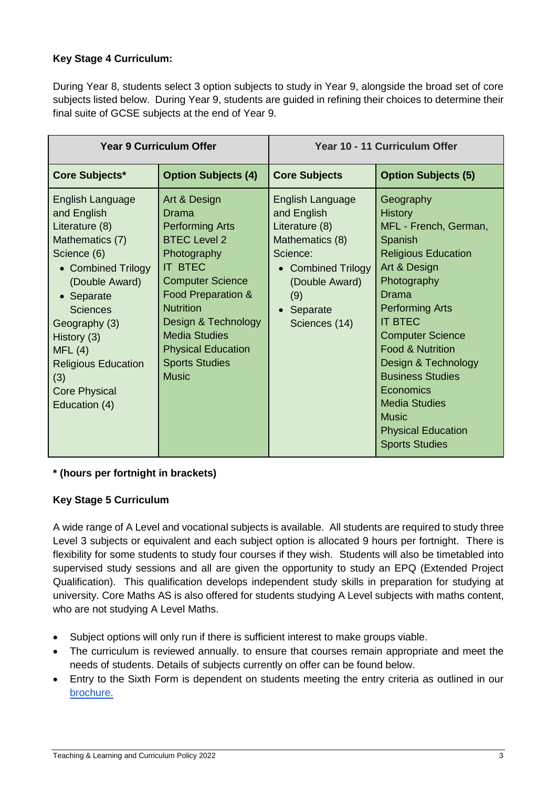#### **Key Stage 4 Curriculum:**

During Year 8, students select 3 option subjects to study in Year 9, alongside the broad set of core subjects listed below. During Year 9, students are guided in refining their choices to determine their final suite of GCSE subjects at the end of Year 9.

|                                                                                                                                                                                                                                                                                      | <b>Year 9 Curriculum Offer</b>                                                                                                                                                                                                                                                                    | Year 10 - 11 Curriculum Offer                                                                                                                                            |                                                                                                                                                                                                                                                                                                                                                                                                          |  |  |
|--------------------------------------------------------------------------------------------------------------------------------------------------------------------------------------------------------------------------------------------------------------------------------------|---------------------------------------------------------------------------------------------------------------------------------------------------------------------------------------------------------------------------------------------------------------------------------------------------|--------------------------------------------------------------------------------------------------------------------------------------------------------------------------|----------------------------------------------------------------------------------------------------------------------------------------------------------------------------------------------------------------------------------------------------------------------------------------------------------------------------------------------------------------------------------------------------------|--|--|
| Core Subjects*                                                                                                                                                                                                                                                                       | <b>Option Subjects (4)</b>                                                                                                                                                                                                                                                                        | <b>Core Subjects</b>                                                                                                                                                     | <b>Option Subjects (5)</b>                                                                                                                                                                                                                                                                                                                                                                               |  |  |
| English Language<br>and English<br>Literature (8)<br>Mathematics (7)<br>Science (6)<br>• Combined Trilogy<br>(Double Award)<br>• Separate<br><b>Sciences</b><br>Geography (3)<br>History (3)<br>MFL(4)<br><b>Religious Education</b><br>(3)<br><b>Core Physical</b><br>Education (4) | Art & Design<br>Drama<br><b>Performing Arts</b><br><b>BTEC Level 2</b><br>Photography<br><b>IT BTEC</b><br><b>Computer Science</b><br>Food Preparation &<br><b>Nutrition</b><br>Design & Technology<br><b>Media Studies</b><br><b>Physical Education</b><br><b>Sports Studies</b><br><b>Music</b> | <b>English Language</b><br>and English<br>Literature (8)<br>Mathematics (8)<br>Science:<br><b>Combined Trilogy</b><br>(Double Award)<br>(9)<br>Separate<br>Sciences (14) | Geography<br><b>History</b><br>MFL - French, German,<br>Spanish<br><b>Religious Education</b><br>Art & Design<br>Photography<br>Drama<br><b>Performing Arts</b><br><b>IT BTEC</b><br><b>Computer Science</b><br><b>Food &amp; Nutrition</b><br>Design & Technology<br><b>Business Studies</b><br>Economics<br><b>Media Studies</b><br><b>Music</b><br><b>Physical Education</b><br><b>Sports Studies</b> |  |  |

#### **\* (hours per fortnight in brackets)**

#### **Key Stage 5 Curriculum**

A wide range of A Level and vocational subjects is available. All students are required to study three Level 3 subjects or equivalent and each subject option is allocated 9 hours per fortnight. There is flexibility for some students to study four courses if they wish. Students will also be timetabled into supervised study sessions and all are given the opportunity to study an EPQ (Extended Project Qualification). This qualification develops independent study skills in preparation for studying at university. Core Maths AS is also offered for students studying A Level subjects with maths content, who are not studying A Level Maths.

- Subject options will only run if there is sufficient interest to make groups viable.
- The curriculum is reviewed annually. to ensure that courses remain appropriate and meet the needs of students. Details of subjects currently on offer can be found below.
- Entry to the Sixth Form is dependent on students meeting the entry criteria as outlined in our [brochure.](https://www.vynersschool.org.uk/_site/data/files/sixthform/A7A19647C796090A1A796DA52BE26F1F.pdf)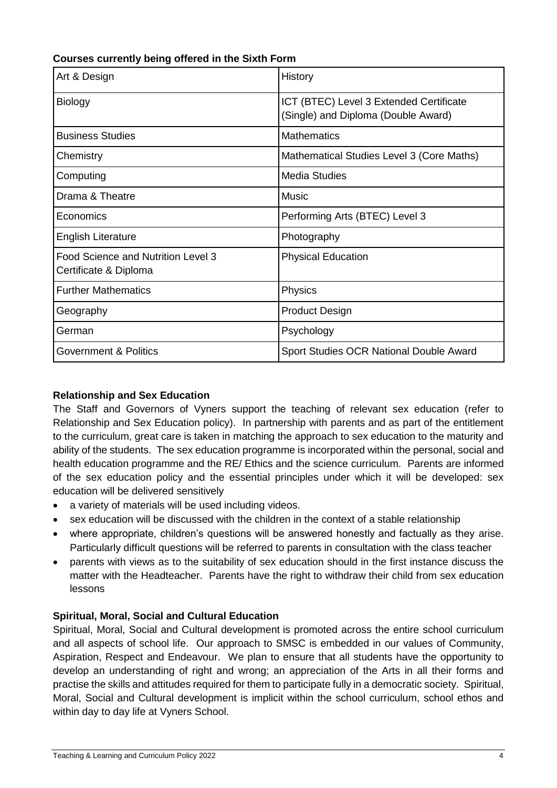| Art & Design                                                | History                                                                        |
|-------------------------------------------------------------|--------------------------------------------------------------------------------|
| <b>Biology</b>                                              | ICT (BTEC) Level 3 Extended Certificate<br>(Single) and Diploma (Double Award) |
| <b>Business Studies</b>                                     | <b>Mathematics</b>                                                             |
| Chemistry                                                   | Mathematical Studies Level 3 (Core Maths)                                      |
| Computing                                                   | <b>Media Studies</b>                                                           |
| Drama & Theatre                                             | <b>Music</b>                                                                   |
| Economics                                                   | Performing Arts (BTEC) Level 3                                                 |
| <b>English Literature</b>                                   | Photography                                                                    |
| Food Science and Nutrition Level 3<br>Certificate & Diploma | <b>Physical Education</b>                                                      |
| <b>Further Mathematics</b>                                  | Physics                                                                        |
| Geography                                                   | <b>Product Design</b>                                                          |
| German                                                      | Psychology                                                                     |
| <b>Government &amp; Politics</b>                            | Sport Studies OCR National Double Award                                        |

#### **Courses currently being offered in the Sixth Form**

#### **Relationship and Sex Education**

The Staff and Governors of Vyners support the teaching of relevant sex education (refer to Relationship and Sex Education policy). In partnership with parents and as part of the entitlement to the curriculum, great care is taken in matching the approach to sex education to the maturity and ability of the students. The sex education programme is incorporated within the personal, social and health education programme and the RE/ Ethics and the science curriculum. Parents are informed of the sex education policy and the essential principles under which it will be developed: sex education will be delivered sensitively

- a variety of materials will be used including videos.
- sex education will be discussed with the children in the context of a stable relationship
- where appropriate, children's questions will be answered honestly and factually as they arise. Particularly difficult questions will be referred to parents in consultation with the class teacher
- parents with views as to the suitability of sex education should in the first instance discuss the matter with the Headteacher. Parents have the right to withdraw their child from sex education lessons

#### **Spiritual, Moral, Social and Cultural Education**

Spiritual, Moral, Social and Cultural development is promoted across the entire school curriculum and all aspects of school life. Our approach to SMSC is embedded in our values of Community, Aspiration, Respect and Endeavour. We plan to ensure that all students have the opportunity to develop an understanding of right and wrong; an appreciation of the Arts in all their forms and practise the skills and attitudes required for them to participate fully in a democratic society. Spiritual, Moral, Social and Cultural development is implicit within the school curriculum, school ethos and within day to day life at Vyners School.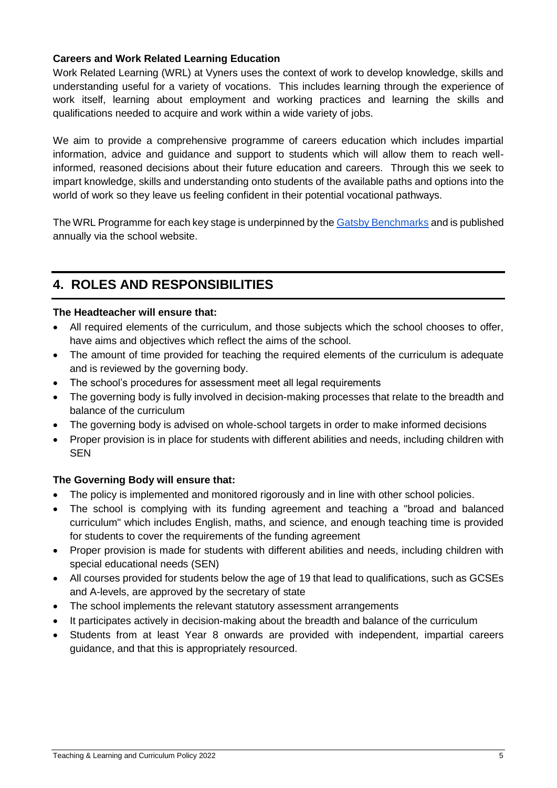#### **Careers and Work Related Learning Education**

Work Related Learning (WRL) at Vyners uses the context of work to develop knowledge, skills and understanding useful for a variety of vocations. This includes learning through the experience of work itself, learning about employment and working practices and learning the skills and qualifications needed to acquire and work within a wide variety of jobs.

We aim to provide a comprehensive programme of careers education which includes impartial information, advice and guidance and support to students which will allow them to reach wellinformed, reasoned decisions about their future education and careers. Through this we seek to impart knowledge, skills and understanding onto students of the available paths and options into the world of work so they leave us feeling confident in their potential vocational pathways.

The WRL Programme for each key stage is underpinned by the [Gatsby Benchmarks](https://www.gatsby.org.uk/education/focus-areas/good-career-guidance) and is published annually via the school website.

## **4. ROLES AND RESPONSIBILITIES**

#### **The Headteacher will ensure that:**

- All required elements of the curriculum, and those subjects which the school chooses to offer, have aims and objectives which reflect the aims of the school.
- The amount of time provided for teaching the required elements of the curriculum is adequate and is reviewed by the governing body.
- The school's procedures for assessment meet all legal requirements
- The governing body is fully involved in decision-making processes that relate to the breadth and balance of the curriculum
- The governing body is advised on whole-school targets in order to make informed decisions
- Proper provision is in place for students with different abilities and needs, including children with SEN

#### **The Governing Body will ensure that:**

- The policy is implemented and monitored rigorously and in line with other school policies.
- The school is complying with its funding agreement and teaching a "broad and balanced" curriculum" which includes English, maths, and science, and enough teaching time is provided for students to cover the requirements of the funding agreement
- Proper provision is made for students with different abilities and needs, including children with special educational needs (SEN)
- All courses provided for students below the age of 19 that lead to qualifications, such as GCSEs and A-levels, are approved by the secretary of state
- The school implements the relevant statutory assessment arrangements
- It participates actively in decision-making about the breadth and balance of the curriculum
- Students from at least Year 8 onwards are provided with independent, impartial careers guidance, and that this is appropriately resourced.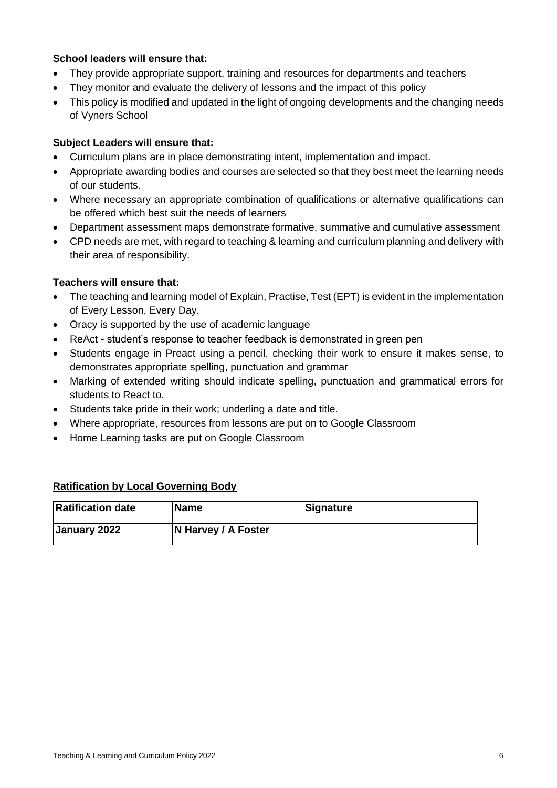#### **School leaders will ensure that:**

- They provide appropriate support, training and resources for departments and teachers
- They monitor and evaluate the delivery of lessons and the impact of this policy
- This policy is modified and updated in the light of ongoing developments and the changing needs of Vyners School

#### **Subject Leaders will ensure that:**

- Curriculum plans are in place demonstrating intent, implementation and impact.
- Appropriate awarding bodies and courses are selected so that they best meet the learning needs of our students.
- Where necessary an appropriate combination of qualifications or alternative qualifications can be offered which best suit the needs of learners
- Department assessment maps demonstrate formative, summative and cumulative assessment
- CPD needs are met, with regard to teaching & learning and curriculum planning and delivery with their area of responsibility.

#### **Teachers will ensure that:**

- The teaching and learning model of Explain, Practise, Test (EPT) is evident in the implementation of Every Lesson, Every Day.
- Oracy is supported by the use of academic language
- ReAct student's response to teacher feedback is demonstrated in green pen
- Students engage in Preact using a pencil, checking their work to ensure it makes sense, to demonstrates appropriate spelling, punctuation and grammar
- Marking of extended writing should indicate spelling, punctuation and grammatical errors for students to React to.
- Students take pride in their work; underling a date and title.
- Where appropriate, resources from lessons are put on to Google Classroom
- Home Learning tasks are put on Google Classroom

#### **Ratification by Local Governing Body**

| <b>Ratification date</b> | <b>Name</b>         | Signature |
|--------------------------|---------------------|-----------|
| January 2022             | N Harvey / A Foster |           |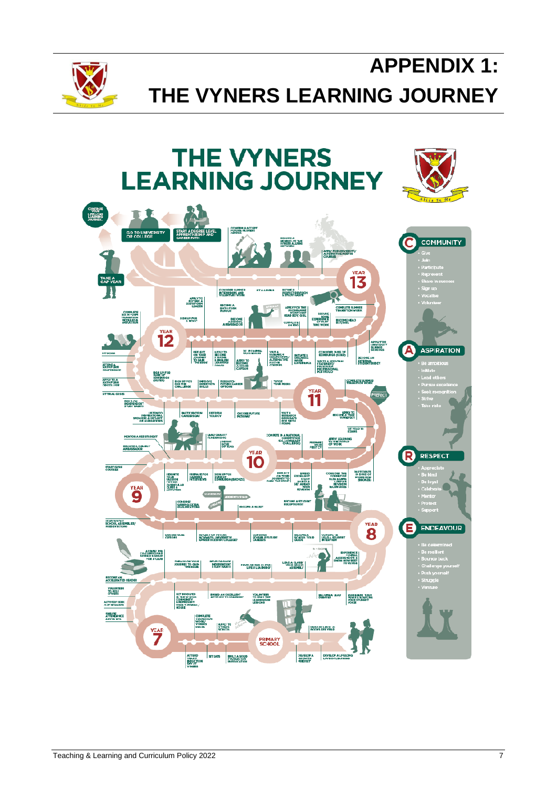